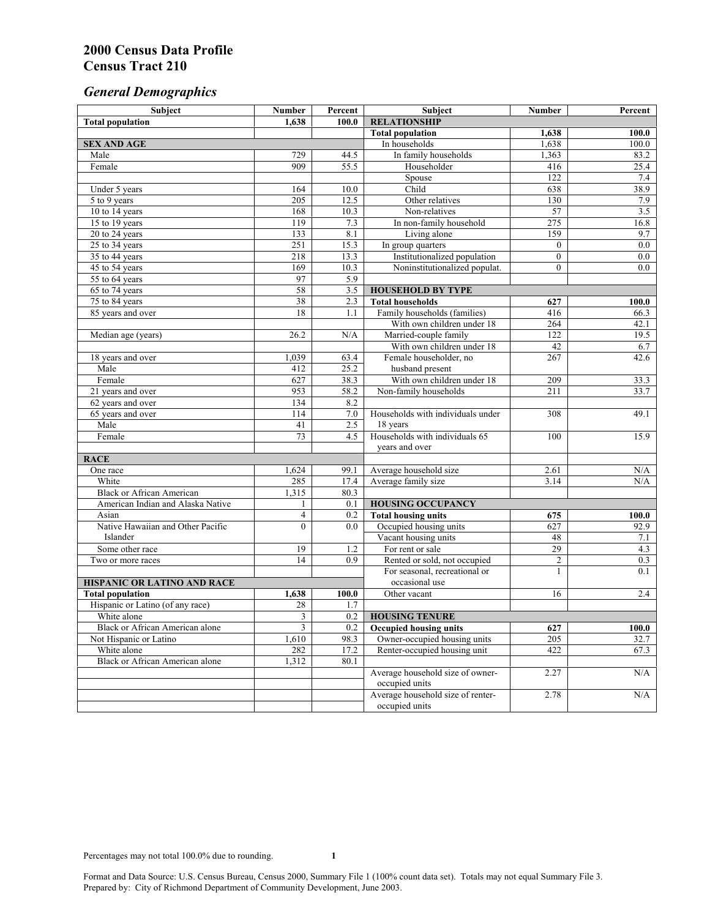# *General Demographics*

| Subject                           | <b>Number</b>   | Percent | Subject                                             | <b>Number</b>    | Percent          |
|-----------------------------------|-----------------|---------|-----------------------------------------------------|------------------|------------------|
| <b>Total population</b>           | 1,638           | 100.0   | <b>RELATIONSHIP</b>                                 |                  |                  |
|                                   |                 |         | <b>Total population</b>                             | 1,638            | 100.0            |
| <b>SEX AND AGE</b>                |                 |         | In households                                       | 1,638            | 100.0            |
| Male                              | 729             | 44.5    | In family households                                | 1,363            | 83.2             |
| Female                            | 909             | 55.5    | Householder                                         | 416              | 25.4             |
|                                   |                 |         | Spouse                                              | $\overline{122}$ | 7.4              |
| Under 5 years                     | 164             | 10.0    | Child                                               | 638              | 38.9             |
| 5 to 9 years                      | 205             | 12.5    | Other relatives                                     | 130              | 7.9              |
| 10 to 14 years                    | 168             | 10.3    | Non-relatives                                       | 57               | 3.5              |
| 15 to 19 years                    | 119             | 7.3     | In non-family household                             | 275              | 16.8             |
| 20 to 24 years                    | 133             | 8.1     | Living alone                                        | 159              | 9.7              |
| $25 \text{ to } 34$ years         | 251             | 15.3    | In group quarters                                   | $\overline{0}$   | 0.0              |
| 35 to 44 years                    | 218             | 13.3    | Institutionalized population                        | $\overline{0}$   | 0.0              |
| 45 to 54 years                    | 169             | 10.3    | Noninstitutionalized populat.                       | $\overline{0}$   | $\overline{0.0}$ |
| 55 to 64 years                    | 97<br>58        | 5.9     |                                                     |                  |                  |
| 65 to 74 years                    |                 | 3.5     | <b>HOUSEHOLD BY TYPE</b>                            |                  |                  |
| 75 to 84 years                    | 38<br>18        | 2.3     | <b>Total households</b>                             | 627              | 100.0            |
| 85 years and over                 |                 | 1.1     | Family households (families)                        | 416              | 66.3             |
|                                   | 26.2            | N/A     | With own children under 18<br>Married-couple family | 264<br>122       | 42.1<br>19.5     |
| Median age (years)                |                 |         | With own children under 18                          | 42               | 6.7              |
|                                   | 1,039           | 63.4    | Female householder, no                              | 267              | 42.6             |
| 18 years and over<br>Male         | 412             | 25.2    | husband present                                     |                  |                  |
| Female                            | 627             | 38.3    | With own children under 18                          | 209              | 33.3             |
| 21 years and over                 | 953             | 58.2    | Non-family households                               | 211              | 33.7             |
| 62 years and over                 | 134             | 8.2     |                                                     |                  |                  |
| 65 years and over                 | 114             | 7.0     | Households with individuals under                   | 308              | 49.1             |
| Male                              | 41              | 2.5     | 18 years                                            |                  |                  |
| Female                            | $\overline{73}$ | 4.5     | Households with individuals 65                      | 100              | 15.9             |
|                                   |                 |         | years and over                                      |                  |                  |
| <b>RACE</b>                       |                 |         |                                                     |                  |                  |
| One race                          | 1,624           | 99.1    | Average household size                              | 2.61             | $\rm N/A$        |
| White                             | 285             | 17.4    | Average family size                                 | 3.14             | N/A              |
| <b>Black or African American</b>  | 1,315           | 80.3    |                                                     |                  |                  |
| American Indian and Alaska Native | 1               | 0.1     | <b>HOUSING OCCUPANCY</b>                            |                  |                  |
| Asian                             | $\overline{4}$  | 0.2     | <b>Total housing units</b>                          | 675              | 100.0            |
| Native Hawaiian and Other Pacific | $\theta$        | 0.0     | Occupied housing units                              | 627              | 92.9             |
| Islander                          |                 |         | Vacant housing units                                | 48               | 7.1              |
| Some other race                   | 19              | 1.2     | For rent or sale                                    | 29               | 4.3              |
| Two or more races                 | 14              | 0.9     | Rented or sold, not occupied                        | $\overline{c}$   | 0.3              |
|                                   |                 |         | For seasonal, recreational or                       | 1                | 0.1              |
| HISPANIC OR LATINO AND RACE       |                 |         | occasional use                                      |                  |                  |
| <b>Total population</b>           | 1,638           | 100.0   | Other vacant                                        | 16               | 2.4              |
| Hispanic or Latino (of any race)  | 28              | 1.7     |                                                     |                  |                  |
| White alone                       | 3               | 0.2     | <b>HOUSING TENURE</b>                               |                  |                  |
| Black or African American alone   | 3               | 0.2     | <b>Occupied housing units</b>                       | 627              | 100.0            |
| Not Hispanic or Latino            | 1,610           | 98.3    | Owner-occupied housing units                        | 205              | 32.7             |
| White alone                       | 282             | 17.2    | Renter-occupied housing unit                        | 422              | 67.3             |
| Black or African American alone   | 1,312           | 80.1    |                                                     |                  |                  |
|                                   |                 |         | Average household size of owner-                    | 2.27             | N/A              |
|                                   |                 |         | occupied units                                      |                  |                  |
|                                   |                 |         | Average household size of renter-                   | 2.78             | N/A              |
|                                   |                 |         | occupied units                                      |                  |                  |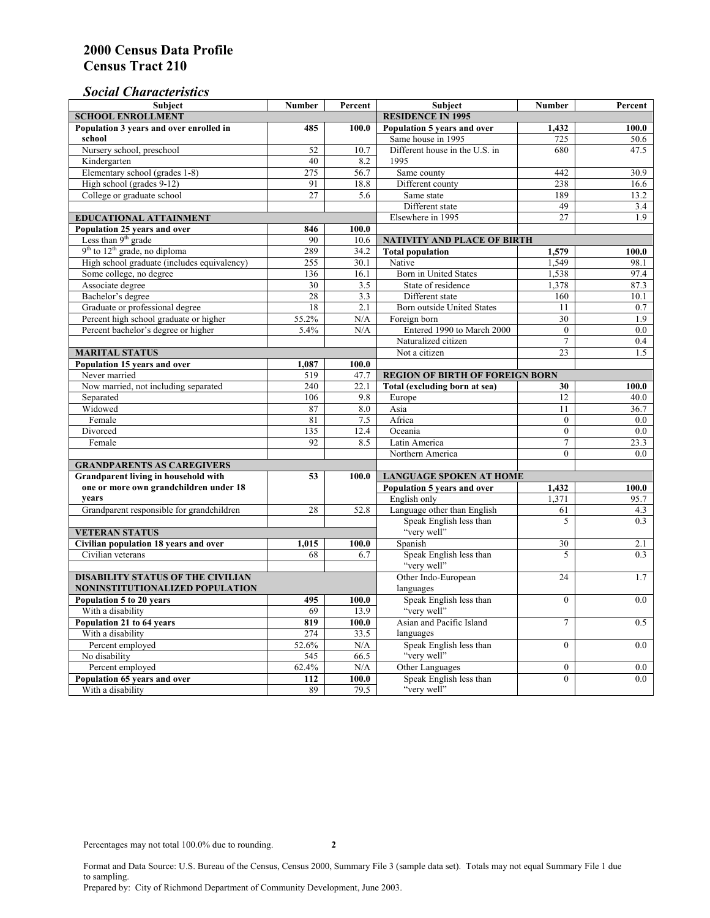### *Social Characteristics*

| <b>Subject</b>                                      | <b>Number</b>            | Percent | <b>Subject</b>                         | <b>Number</b>    | Percent |
|-----------------------------------------------------|--------------------------|---------|----------------------------------------|------------------|---------|
| <b>SCHOOL ENROLLMENT</b>                            | <b>RESIDENCE IN 1995</b> |         |                                        |                  |         |
| Population 3 years and over enrolled in             | 485                      | 100.0   | Population 5 years and over            | 1,432            | 100.0   |
| school                                              |                          |         | Same house in 1995                     | 725              | 50.6    |
| Nursery school, preschool                           | 52                       | 10.7    | Different house in the U.S. in         | 680              | 47.5    |
| Kindergarten                                        | 40                       | 8.2     | 1995                                   |                  |         |
| Elementary school (grades 1-8)                      | 275                      | 56.7    | Same county                            | 442              | 30.9    |
| High school (grades 9-12)                           | 91                       | 18.8    | Different county                       | 238              | 16.6    |
| College or graduate school                          | 27                       | 5.6     | Same state                             | 189              | 13.2    |
|                                                     |                          |         | Different state                        | 49               | 3.4     |
| <b>EDUCATIONAL ATTAINMENT</b>                       |                          |         | Elsewhere in 1995                      | 27               | 1.9     |
| Population 25 years and over                        | 846                      | 100.0   |                                        |                  |         |
| Less than 9 <sup>th</sup> grade                     | 90                       | 10.6    | NATIVITY AND PLACE OF BIRTH            |                  |         |
| $9th$ to $12th$ grade, no diploma                   | 289                      | 34.2    | <b>Total population</b>                | 1,579            | 100.0   |
| High school graduate (includes equivalency)         | 255                      | 30.1    | Native                                 | 1.549            | 98.1    |
| Some college, no degree                             | 136                      | 16.1    | <b>Born</b> in United States           | 1,538            | 97.4    |
| Associate degree                                    | 30                       | 3.5     | State of residence                     | 1,378            | 87.3    |
| Bachelor's degree                                   | 28                       | 3.3     | Different state                        | 160              | 10.1    |
| Graduate or professional degree                     | 18                       | 2.1     | Born outside United States             | 11               | 0.7     |
| Percent high school graduate or higher              | 55.2%                    | N/A     | Foreign born                           | 30               | 1.9     |
| Percent bachelor's degree or higher                 | 5.4%                     | N/A     | Entered 1990 to March 2000             | $\mathbf{0}$     | 0.0     |
|                                                     |                          |         | Naturalized citizen                    | $\overline{7}$   | 0.4     |
| <b>MARITAL STATUS</b>                               | Not a citizen            | 23      | 1.5                                    |                  |         |
| Population 15 years and over                        | 1,087                    | 100.0   |                                        |                  |         |
| Never married                                       | 519                      | 47.7    | <b>REGION OF BIRTH OF FOREIGN BORN</b> |                  |         |
| Now married, not including separated                | 240                      | 22.1    | Total (excluding born at sea)          | 30               | 100.0   |
| Separated                                           | 106                      | 9.8     | Europe                                 | 12               | 40.0    |
| Widowed                                             | 87                       | 8.0     | Asia                                   | 11               | 36.7    |
| Female                                              | 81                       | 7.5     | Africa                                 | $\Omega$         | 0.0     |
| Divorced                                            | 135                      | 12.4    | Oceania                                | $\Omega$         | 0.0     |
| Female                                              | 92                       | 8.5     | Latin America                          | $\tau$           | 23.3    |
|                                                     |                          |         | Northern America                       | $\theta$         | 0.0     |
| <b>GRANDPARENTS AS CAREGIVERS</b>                   |                          |         |                                        |                  |         |
| Grandparent living in household with<br>53<br>100.0 |                          |         | <b>LANGUAGE SPOKEN AT HOME</b>         |                  |         |
| one or more own grandchildren under 18              |                          |         | Population 5 years and over            | 1,432            | 100.0   |
| years                                               |                          |         | English only                           | 1,371            | 95.7    |
| Grandparent responsible for grandchildren           | 28                       | 52.8    | Language other than English            | 61               | 4.3     |
|                                                     |                          |         | Speak English less than                | 5                | 0.3     |
| <b>VETERAN STATUS</b>                               |                          |         | "very well"                            |                  |         |
| Civilian population 18 years and over               | 1,015                    | 100.0   | Spanish                                | 30               | 2.1     |
| Civilian veterans                                   | 68                       | 6.7     | Speak English less than                | 5                | 0.3     |
|                                                     |                          |         | "very well"                            |                  |         |
| <b>DISABILITY STATUS OF THE CIVILIAN</b>            | Other Indo-European      | 24      | 1.7                                    |                  |         |
| NONINSTITUTIONALIZED POPULATION                     | languages                |         |                                        |                  |         |
| Population 5 to 20 years                            | 495                      | 100.0   | Speak English less than                | $\mathbf{0}$     | 0.0     |
| With a disability                                   | 69                       | 13.9    | "very well"                            |                  |         |
| Population 21 to 64 years                           | 819                      | 100.0   | Asian and Pacific Island               | $\overline{7}$   | 0.5     |
| With a disability                                   | 274                      | 33.5    | languages                              |                  |         |
| Percent employed                                    | 52.6%                    | N/A     | Speak English less than                | $\overline{0}$   | 0.0     |
| No disability                                       | 545                      | 66.5    | "very well"                            |                  |         |
| Percent employed                                    | 62.4%                    | N/A     | Other Languages                        | $\boldsymbol{0}$ | $0.0\,$ |
| Population 65 years and over                        | 112                      | 100.0   | Speak English less than                | $\mathbf{0}$     | 0.0     |
| With a disability                                   | 89                       | 79.5    | "very well"                            |                  |         |

Format and Data Source: U.S. Bureau of the Census, Census 2000, Summary File 3 (sample data set). Totals may not equal Summary File 1 due to sampling.

Prepared by: City of Richmond Department of Community Development, June 2003.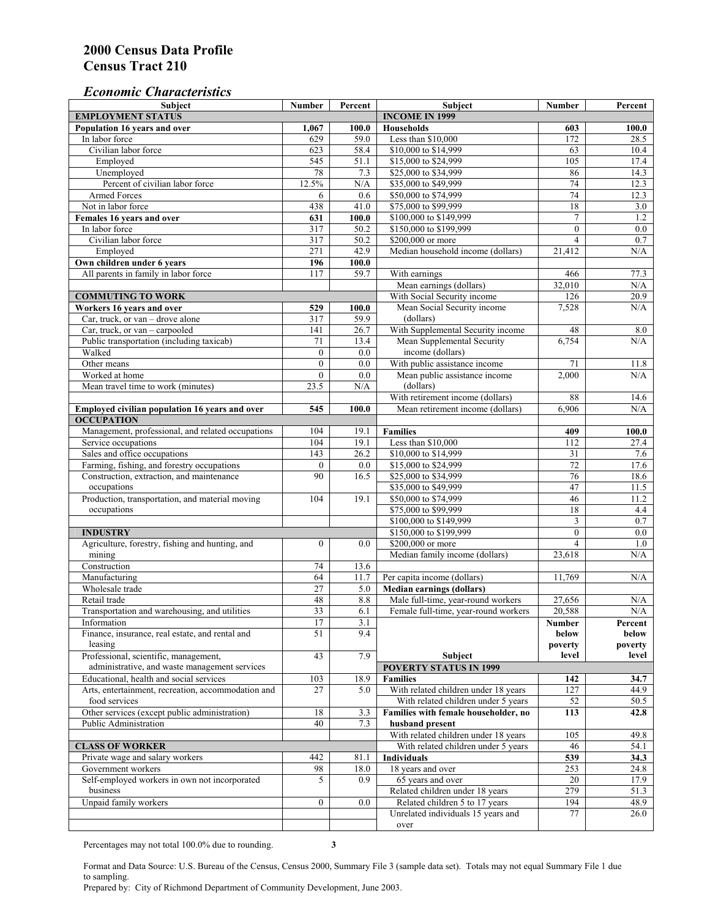### *Economic Characteristics*

| <b>Subject</b>                                                     | Number           | Percent | Subject                                      | Number           | Percent           |
|--------------------------------------------------------------------|------------------|---------|----------------------------------------------|------------------|-------------------|
| <b>EMPLOYMENT STATUS</b>                                           |                  |         | <b>INCOME IN 1999</b>                        |                  |                   |
| Population 16 years and over                                       | 1,067            | 100.0   | <b>Households</b>                            | 603              | 100.0             |
| In labor force                                                     | 629              | 59.0    | Less than \$10,000                           | 172              | 28.5              |
| Civilian labor force                                               | 623              | 58.4    | \$10,000 to \$14,999                         | 63               | 10.4              |
| Employed                                                           | 545              | 51.1    | \$15,000 to \$24,999                         | 105              | 17.4              |
| Unemployed                                                         | 78               | 7.3     | \$25,000 to \$34,999                         | 86               | 14.3              |
| Percent of civilian labor force                                    | 12.5%            | N/A     | \$35,000 to \$49,999                         | 74               | 12.3              |
| Armed Forces                                                       | 6                | 0.6     | \$50,000 to \$74,999                         | 74               | 12.3              |
| Not in labor force                                                 | 438              | 41.0    | \$75,000 to \$99,999                         | 18               | 3.0               |
| Females 16 years and over                                          | 631              | 100.0   | \$100,000 to \$149,999                       | $\tau$           | 1.2               |
| In labor force                                                     | 317              | 50.2    | \$150,000 to \$199,999                       | $\mathbf{0}$     | $\overline{0.0}$  |
| Civilian labor force                                               | 317              | 50.2    | \$200,000 or more                            | $\overline{4}$   | 0.7               |
| Employed                                                           | 271              | 42.9    | Median household income (dollars)            | 21,412           | N/A               |
| Own children under 6 years                                         | 196              | 100.0   |                                              |                  |                   |
| All parents in family in labor force                               | 117              | 59.7    | With earnings                                | 466              | 77.3              |
|                                                                    |                  |         | Mean earnings (dollars)                      | 32,010           | N/A               |
| <b>COMMUTING TO WORK</b>                                           |                  |         | With Social Security income                  | 126              | 20.9              |
| Workers 16 years and over                                          | 529              | 100.0   | Mean Social Security income                  | 7,528            | N/A               |
| Car, truck, or van – drove alone                                   | 317              | 59.9    | (dollars)                                    |                  |                   |
| Car, truck, or van - carpooled                                     | 141              | 26.7    | With Supplemental Security income            | 48               | 8.0               |
| Public transportation (including taxicab)                          | 71               | 13.4    | Mean Supplemental Security                   | 6,754            | N/A               |
| Walked                                                             | $\boldsymbol{0}$ | 0.0     | income (dollars)                             |                  |                   |
| Other means                                                        | $\boldsymbol{0}$ | 0.0     | With public assistance income                | 71               | 11.8              |
| Worked at home                                                     | $\mathbf{0}$     | 0.0     | Mean public assistance income                | 2,000            | N/A               |
| Mean travel time to work (minutes)                                 | 23.5             | N/A     | (dollars)                                    |                  |                   |
|                                                                    |                  |         | With retirement income (dollars)             | 88               | 14.6              |
| Employed civilian population 16 years and over                     | 545              | 100.0   | Mean retirement income (dollars)             | 6,906            | N/A               |
| <b>OCCUPATION</b>                                                  |                  |         |                                              |                  |                   |
| Management, professional, and related occupations                  | 104              | 19.1    | <b>Families</b>                              | 409              | 100.0             |
| Service occupations                                                | 104              | 19.1    | Less than \$10,000                           | 112              | 27.4              |
| Sales and office occupations                                       | 143              | 26.2    | \$10,000 to \$14,999                         | 31               | 7.6               |
| Farming, fishing, and forestry occupations                         | $\boldsymbol{0}$ | 0.0     | \$15,000 to \$24,999                         | $\overline{72}$  | 17.6              |
| Construction, extraction, and maintenance                          | 90               | 16.5    | \$25,000 to \$34,999                         | 76               | 18.6              |
| occupations                                                        |                  |         | \$35,000 to \$49,999                         | 47               | $11.\overline{5}$ |
|                                                                    | 104              | 19.1    |                                              |                  | 11.2              |
| Production, transportation, and material moving<br>occupations     |                  |         | \$50,000 to \$74,999<br>\$75,000 to \$99,999 | 46<br>18         | 4.4               |
|                                                                    |                  |         | \$100,000 to \$149,999                       | 3                | 0.7               |
|                                                                    |                  |         | \$150,000 to \$199,999                       | $\mathbf{0}$     | $0.0\,$           |
| <b>INDUSTRY</b><br>Agriculture, forestry, fishing and hunting, and | $\boldsymbol{0}$ | 0.0     | \$200,000 or more                            | $\overline{4}$   | 1.0               |
|                                                                    |                  |         |                                              |                  | N/A               |
| mining<br>Construction                                             | 74               |         | Median family income (dollars)               | 23,618           |                   |
|                                                                    |                  | 13.6    |                                              |                  |                   |
| Manufacturing                                                      | 64               | 11.7    | Per capita income (dollars)                  | 11,769           | N/A               |
| Wholesale trade                                                    | $\overline{27}$  | 5.0     | <b>Median earnings (dollars)</b>             |                  |                   |
| Retail trade                                                       | 48               | $8.8\,$ | Male full-time, year-round workers           | 27,656<br>20.588 | N/A               |
| Transportation and warehousing, and utilities                      | $\overline{33}$  | 6.1     | Female full-time, year-round workers         |                  | N/A               |
| Information                                                        | 17               | 3.1     |                                              | Number           | Percent           |
| Finance, insurance, real estate, and rental and                    | 51               | 9.4     |                                              | below            | below             |
| leasing                                                            |                  |         |                                              | poverty          | poverty           |
| Professional, scientific, management,                              | 43               | 7.9     | Subject                                      | level            | level             |
| administrative, and waste management services                      |                  |         | <b>POVERTY STATUS IN 1999</b>                |                  |                   |
| Educational, health and social services                            | 103              | 18.9    | <b>Families</b>                              | 142              | 34.7              |
| Arts, entertainment, recreation, accommodation and                 | 27               | 5.0     | With related children under 18 years         | 127              | 44.9              |
| food services                                                      |                  |         | With related children under 5 years          | 52               | 50.5              |
| Other services (except public administration)                      | 18               | 3.3     | Families with female householder, no         | 113              | 42.8              |
| Public Administration                                              | 40               | 7.3     | husband present                              |                  |                   |
|                                                                    |                  |         | With related children under 18 years         | 105              | 49.8              |
| <b>CLASS OF WORKER</b>                                             |                  |         | With related children under 5 years          | 46               | 54.1              |
| Private wage and salary workers                                    | 442              | 81.1    | Individuals                                  | 539              | 34.3              |
| Government workers                                                 | 98               | 18.0    | 18 years and over                            | 253              | 24.8              |
| Self-employed workers in own not incorporated                      | 5                | 0.9     | 65 years and over                            | 20               | 17.9              |
| business                                                           |                  |         | Related children under 18 years              | 279              | 51.3              |
| Unpaid family workers                                              | $\mathbf{0}$     | 0.0     | Related children 5 to 17 years               | 194              | 48.9              |
|                                                                    |                  |         | Unrelated individuals 15 years and           | 77               | 26.0              |
|                                                                    |                  |         | over                                         |                  |                   |

Percentages may not total 100.0% due to rounding. **3** 

Format and Data Source: U.S. Bureau of the Census, Census 2000, Summary File 3 (sample data set). Totals may not equal Summary File 1 due to sampling.

Prepared by: City of Richmond Department of Community Development, June 2003.